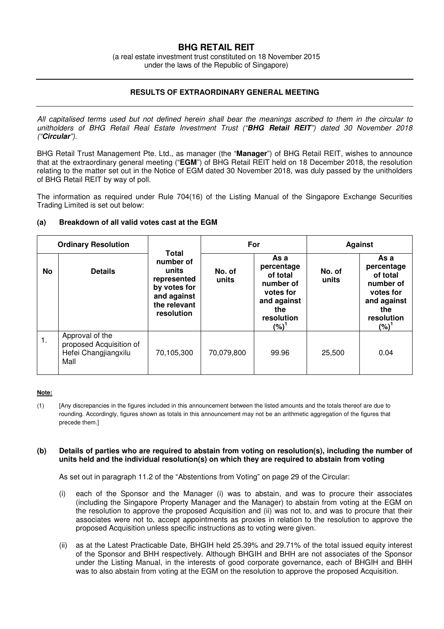# **BHG RETAIL REIT**

(a real estate investment trust constituted on 18 November 2015 under the laws of the Republic of Singapore)

## **RESULTS OF EXTRAORDINARY GENERAL MEETING**

All capitalised terms used but not defined herein shall bear the meanings ascribed to them in the circular to unitholders of BHG Retail Real Estate Investment Trust ("**BHG Retail REIT**") dated 30 November 2018 ("**Circular**").

BHG Retail Trust Management Pte. Ltd., as manager (the "**Manager**") of BHG Retail REIT, wishes to announce that at the extraordinary general meeting ("**EGM**") of BHG Retail REIT held on 18 December 2018, the resolution relating to the matter set out in the Notice of EGM dated 30 November 2018, was duly passed by the unitholders of BHG Retail REIT by way of poll.

The information as required under Rule 704(16) of the Listing Manual of the Singapore Exchange Securities Trading Limited is set out below:

### **(a) Breakdown of all valid votes cast at the EGM**

| <b>Ordinary Resolution</b> |                                                                            |                                                                                                         | For             |                                                                                                         | <b>Against</b>  |                                                                                                     |
|----------------------------|----------------------------------------------------------------------------|---------------------------------------------------------------------------------------------------------|-----------------|---------------------------------------------------------------------------------------------------------|-----------------|-----------------------------------------------------------------------------------------------------|
| <b>No</b>                  | <b>Details</b>                                                             | Total<br>number of<br>units<br>represented<br>by votes for<br>and against<br>the relevant<br>resolution | No. of<br>units | As a<br>percentage<br>of total<br>number of<br>votes for<br>and against<br>the<br>resolution<br>$(%)^2$ | No. of<br>units | As a<br>percentage<br>of total<br>number of<br>votes for<br>and against<br>the<br>resolution<br>(%) |
| 1.                         | Approval of the<br>proposed Acquisition of<br>Hefei Changjiangxilu<br>Mall | 70,105,300                                                                                              | 70,079,800      | 99.96                                                                                                   | 25,500          | 0.04                                                                                                |

#### **Note:**

(1) [Any discrepancies in the figures included in this announcement between the listed amounts and the totals thereof are due to rounding. Accordingly, figures shown as totals in this announcement may not be an arithmetic aggregation of the figures that precede them.]

### **(b) Details of parties who are required to abstain from voting on resolution(s), including the number of units held and the individual resolution(s) on which they are required to abstain from voting**

As set out in paragraph 11.2 of the "Abstentions from Voting" on page 29 of the Circular:

- (i) each of the Sponsor and the Manager (i) was to abstain, and was to procure their associates (including the Singapore Property Manager and the Manager) to abstain from voting at the EGM on the resolution to approve the proposed Acquisition and (ii) was not to, and was to procure that their associates were not to, accept appointments as proxies in relation to the resolution to approve the proposed Acquisition unless specific instructions as to voting were given.
- (ii) as at the Latest Practicable Date, BHGIH held 25.39% and 29.71% of the total issued equity interest of the Sponsor and BHH respectively. Although BHGIH and BHH are not associates of the Sponsor under the Listing Manual, in the interests of good corporate governance, each of BHGIH and BHH was to also abstain from voting at the EGM on the resolution to approve the proposed Acquisition.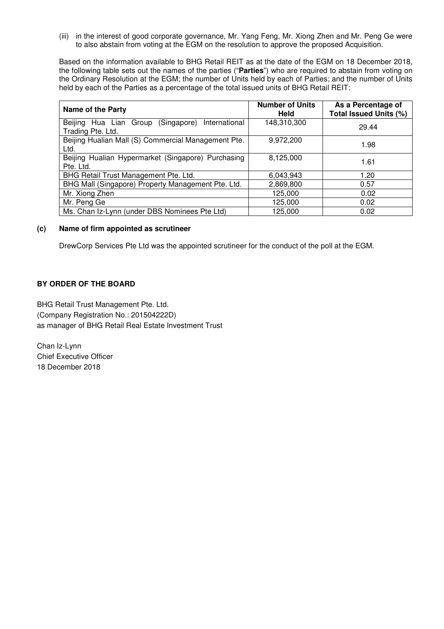(iii) in the interest of good corporate governance, Mr. Yang Feng, Mr. Xiong Zhen and Mr. Peng Ge were to also abstain from voting at the EGM on the resolution to approve the proposed Acquisition.

Based on the information available to BHG Retail REIT as at the date of the EGM on 18 December 2018, the following table sets out the names of the parties ("**Parties**") who are required to abstain from voting on the Ordinary Resolution at the EGM; the number of Units held by each of Parties; and the number of Units held by each of the Parties as a percentage of the total issued units of BHG Retail REIT:

| <b>Name of the Party</b>                                                 | <b>Number of Units</b><br>Held | As a Percentage of<br>Total Issued Units (%) |
|--------------------------------------------------------------------------|--------------------------------|----------------------------------------------|
| Beijing Hua Lian Group (Singapore)<br>International<br>Trading Pte. Ltd. | 148,310,300                    | 29.44                                        |
| Beijing Hualian Mall (S) Commercial Management Pte.<br>Ltd.              | 9,972,200                      | 1.98                                         |
| Beijing Hualian Hypermarket (Singapore) Purchasing<br>Pte. Ltd.          | 8,125,000                      | 1.61                                         |
| BHG Retail Trust Management Pte. Ltd.                                    | 6,043,943                      | 1.20                                         |
| BHG Mall (Singapore) Property Management Pte. Ltd.                       | 2,869,800                      | 0.57                                         |
| Mr. Xiong Zhen                                                           | 125,000                        | 0.02                                         |
| Mr. Peng Ge                                                              | 125,000                        | 0.02                                         |
| Ms. Chan Iz-Lynn (under DBS Nominees Pte Ltd)                            | 125,000                        | 0.02                                         |

### **(c) Name of firm appointed as scrutineer**

DrewCorp Services Pte Ltd was the appointed scrutineer for the conduct of the poll at the EGM.

## **BY ORDER OF THE BOARD**

BHG Retail Trust Management Pte. Ltd. (Company Registration No.: 201504222D) as manager of BHG Retail Real Estate Investment Trust

Chan Iz-Lynn Chief Executive Officer 18 December 2018